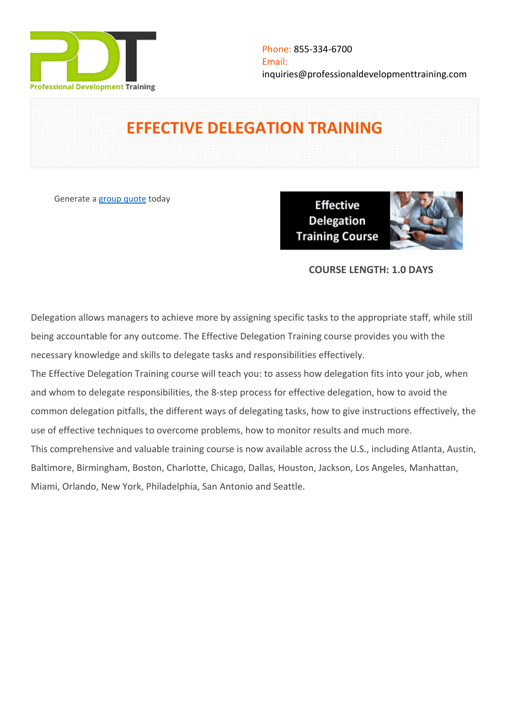

# **EFFECTIVE DELEGATION TRAINING**

Generate a [group quote](https://professionaldevelopmenttraining.com/inhouse-training-quote?cse=PDT0183) today

**Effective Delegation Training Course** 



# **COURSE LENGTH: 1.0 DAYS**

Delegation allows managers to achieve more by assigning specific tasks to the appropriate staff, while still being accountable for any outcome. The Effective Delegation Training course provides you with the necessary knowledge and skills to delegate tasks and responsibilities effectively.

The Effective Delegation Training course will teach you: to assess how delegation fits into your job, when and whom to delegate responsibilities, the 8-step process for effective delegation, how to avoid the common delegation pitfalls, the different ways of delegating tasks, how to give instructions effectively, the use of effective techniques to overcome problems, how to monitor results and much more. This comprehensive and valuable training course is now available across the U.S., including Atlanta, Austin, Baltimore, Birmingham, Boston, Charlotte, Chicago, Dallas, Houston, Jackson, Los Angeles, Manhattan, Miami, Orlando, New York, Philadelphia, San Antonio and Seattle.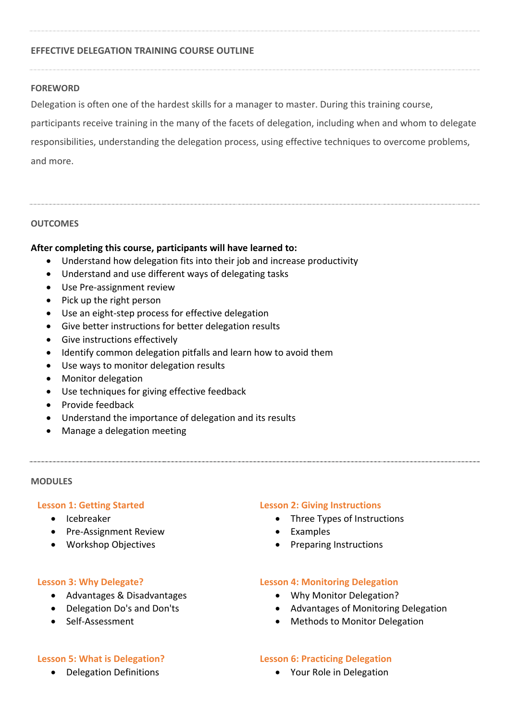#### **EFFECTIVE DELEGATION TRAINING COURSE OUTLINE**

#### **FOREWORD**

Delegation is often one of the hardest skills for a manager to master. During this training course,

participants receive training in the many of the facets of delegation, including when and whom to delegate responsibilities, understanding the delegation process, using effective techniques to overcome problems, and more.

#### **OUTCOMES**

#### **After completing this course, participants will have learned to:**

- Understand how delegation fits into their job and increase productivity
- Understand and use different ways of delegating tasks
- Use Pre-assignment review
- $\bullet$  Pick up the right person
- Use an eight-step process for effective delegation
- Give better instructions for better delegation results
- Give instructions effectively
- Identify common delegation pitfalls and learn how to avoid them
- Use ways to monitor delegation results
- Monitor delegation
- Use techniques for giving effective feedback
- Provide feedback
- Understand the importance of delegation and its results
- Manage a delegation meeting

#### **MODULES**

#### **Lesson 1: Getting Started**

- Icebreaker
- Pre-Assignment Review
- Workshop Objectives

#### **Lesson 3: Why Delegate?**

- Advantages & Disadvantages
- Delegation Do's and Don'ts
- Self-Assessment

#### **Lesson 5: What is Delegation?**

Delegation Definitions

#### **Lesson 2: Giving Instructions**

- Three Types of Instructions
- Examples
- Preparing Instructions

#### **Lesson 4: Monitoring Delegation**

- Why Monitor Delegation?
- Advantages of Monitoring Delegation
- Methods to Monitor Delegation

#### **Lesson 6: Practicing Delegation**

Your Role in Delegation